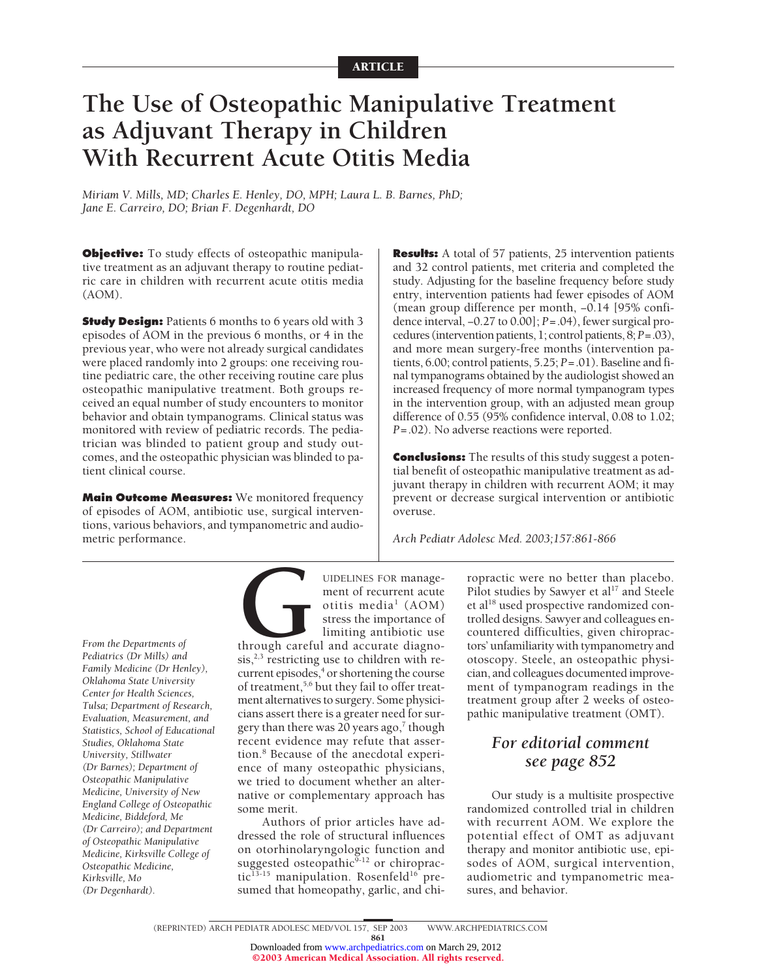# **The Use of Osteopathic Manipulative Treatment as Adjuvant Therapy in Children With Recurrent Acute Otitis Media**

*Miriam V. Mills, MD; Charles E. Henley, DO, MPH; Laura L. B. Barnes, PhD; Jane E. Carreiro, DO; Brian F. Degenhardt, DO*

**Objective:** To study effects of osteopathic manipulative treatment as an adjuvant therapy to routine pediatric care in children with recurrent acute otitis media (AOM).

**Study Design:** Patients 6 months to 6 years old with 3 episodes of AOM in the previous 6 months, or 4 in the previous year, who were not already surgical candidates were placed randomly into 2 groups: one receiving routine pediatric care, the other receiving routine care plus osteopathic manipulative treatment. Both groups received an equal number of study encounters to monitor behavior and obtain tympanograms. Clinical status was monitored with review of pediatric records. The pediatrician was blinded to patient group and study outcomes, and the osteopathic physician was blinded to patient clinical course.

**Main Outcome Measures:** We monitored frequency of episodes of AOM, antibiotic use, surgical interventions, various behaviors, and tympanometric and audiometric performance.

**Results:** A total of 57 patients, 25 intervention patients and 32 control patients, met criteria and completed the study. Adjusting for the baseline frequency before study entry, intervention patients had fewer episodes of AOM (mean group difference per month, −0.14 [95% confidence interval, −0.27 to 0.00]; *P*=.04), fewer surgical procedures (intervention patients, 1; control patients, 8;*P*=.03), and more mean surgery-free months (intervention patients, 6.00; control patients, 5.25; *P*=.01). Baseline and final tympanograms obtained by the audiologist showed an increased frequency of more normal tympanogram types in the intervention group, with an adjusted mean group difference of 0.55 (95% confidence interval, 0.08 to 1.02; *P*=.02). No adverse reactions were reported.

**Conclusions:** The results of this study suggest a potential benefit of osteopathic manipulative treatment as adjuvant therapy in children with recurrent AOM; it may prevent or decrease surgical intervention or antibiotic overuse.

*Arch Pediatr Adolesc Med. 2003;157:861-866*

*From the Departments of Pediatrics (Dr Mills) and Family Medicine (Dr Henley), Oklahoma State University Center for Health Sciences, Tulsa; Department of Research, Evaluation, Measurement, and Statistics, School of Educational Studies, Oklahoma State University, Stillwater (Dr Barnes); Department of Osteopathic Manipulative Medicine, University of New England College of Osteopathic Medicine, Biddeford, Me (Dr Carreiro); and Department of Osteopathic Manipulative Medicine, Kirksville College of Osteopathic Medicine, Kirksville, Mo (Dr Degenhardt).*

UIDELINES FOR manage-<br>
ment of recurrent acute<br>
otitis media<sup>1</sup> (AOM)<br>
stress the importance of<br>
limiting antibiotic use<br>
through careful and accurate diagno-<br>
sis,<sup>2,3</sup> restricting use to children with rement of recurrent acute otitis media<sup>1</sup> (AOM) stress the importance of limiting antibiotic use through careful and accurate diagno $sis, <sup>2,3</sup>$  restricting use to children with recurrent episodes,<sup>4</sup> or shortening the course of treatment,<sup>5,6</sup> but they fail to offer treatment alternatives to surgery. Some physicicians assert there is a greater need for surgery than there was 20 years ago, $7$  though recent evidence may refute that assertion.8 Because of the anecdotal experi-

ence of many osteopathic physicians, we tried to document whether an alternative or complementary approach has some merit.

Authors of prior articles have addressed the role of structural influences on otorhinolaryngologic function and suggested osteopathic $9-12$  or chiropractic<sup>13-15</sup> manipulation. Rosenfeld<sup>16</sup> presumed that homeopathy, garlic, and chiropractic were no better than placebo. Pilot studies by Sawyer et al<sup>17</sup> and Steele et al<sup>18</sup> used prospective randomized controlled designs. Sawyer and colleagues encountered difficulties, given chiropractors' unfamiliarity with tympanometry and otoscopy. Steele, an osteopathic physician, and colleagues documented improvement of tympanogram readings in the treatment group after 2 weeks of osteopathic manipulative treatment (OMT).

# *For editorial comment see page 852*

Our study is a multisite prospective randomized controlled trial in children with recurrent AOM. We explore the potential effect of OMT as adjuvant therapy and monitor antibiotic use, episodes of AOM, surgical intervention, audiometric and tympanometric measures, and behavior.

<sup>861</sup>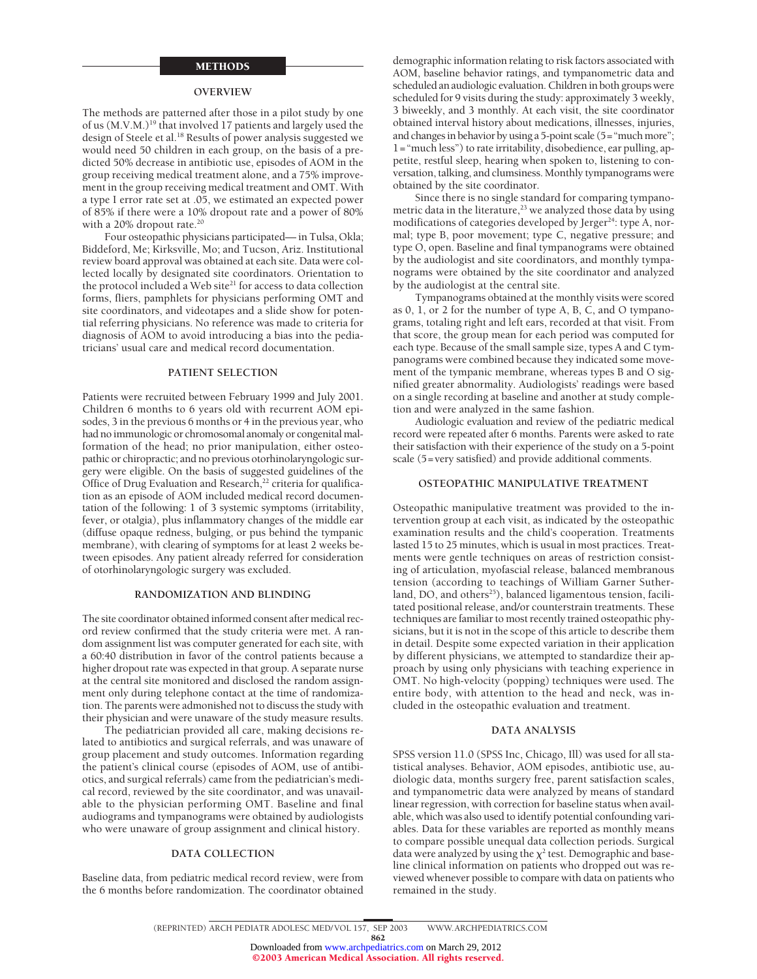#### METHODS

#### **OVERVIEW**

The methods are patterned after those in a pilot study by one of us (M.V.M.)<sup>19</sup> that involved 17 patients and largely used the design of Steele et al.<sup>18</sup> Results of power analysis suggested we would need 50 children in each group, on the basis of a predicted 50% decrease in antibiotic use, episodes of AOM in the group receiving medical treatment alone, and a 75% improvement in the group receiving medical treatment and OMT. With a type I error rate set at .05, we estimated an expected power of 85% if there were a 10% dropout rate and a power of 80% with a 20% dropout rate.<sup>20</sup>

Four osteopathic physicians participated— in Tulsa, Okla; Biddeford, Me; Kirksville, Mo; and Tucson, Ariz. Institutional review board approval was obtained at each site. Data were collected locally by designated site coordinators. Orientation to the protocol included a Web site<sup>21</sup> for access to data collection forms, fliers, pamphlets for physicians performing OMT and site coordinators, and videotapes and a slide show for potential referring physicians. No reference was made to criteria for diagnosis of AOM to avoid introducing a bias into the pediatricians' usual care and medical record documentation.

#### **PATIENT SELECTION**

Patients were recruited between February 1999 and July 2001. Children 6 months to 6 years old with recurrent AOM episodes, 3 in the previous 6 months or 4 in the previous year, who had no immunologic or chromosomal anomaly or congenital malformation of the head; no prior manipulation, either osteopathic or chiropractic; and no previous otorhinolaryngologic surgery were eligible. On the basis of suggested guidelines of the Office of Drug Evaluation and Research,<sup>22</sup> criteria for qualification as an episode of AOM included medical record documentation of the following: 1 of 3 systemic symptoms (irritability, fever, or otalgia), plus inflammatory changes of the middle ear (diffuse opaque redness, bulging, or pus behind the tympanic membrane), with clearing of symptoms for at least 2 weeks between episodes. Any patient already referred for consideration of otorhinolaryngologic surgery was excluded.

#### **RANDOMIZATION AND BLINDING**

The site coordinator obtained informed consent after medical record review confirmed that the study criteria were met. A random assignment list was computer generated for each site, with a 60:40 distribution in favor of the control patients because a higher dropout rate was expected in that group. A separate nurse at the central site monitored and disclosed the random assignment only during telephone contact at the time of randomization. The parents were admonished not to discuss the study with their physician and were unaware of the study measure results.

The pediatrician provided all care, making decisions related to antibiotics and surgical referrals, and was unaware of group placement and study outcomes. Information regarding the patient's clinical course (episodes of AOM, use of antibiotics, and surgical referrals) came from the pediatrician's medical record, reviewed by the site coordinator, and was unavailable to the physician performing OMT. Baseline and final audiograms and tympanograms were obtained by audiologists who were unaware of group assignment and clinical history.

#### **DATA COLLECTION**

Baseline data, from pediatric medical record review, were from the 6 months before randomization. The coordinator obtained

demographic information relating to risk factors associated with AOM, baseline behavior ratings, and tympanometric data and scheduled an audiologic evaluation. Children in both groups were scheduled for 9 visits during the study: approximately 3 weekly, 3 biweekly, and 3 monthly. At each visit, the site coordinator obtained interval history about medications, illnesses, injuries, and changes in behavior by using a 5-point scale (5="much more"; 1="much less") to rate irritability, disobedience, ear pulling, appetite, restful sleep, hearing when spoken to, listening to conversation, talking, and clumsiness. Monthly tympanograms were obtained by the site coordinator.

Since there is no single standard for comparing tympanometric data in the literature,<sup>23</sup> we analyzed those data by using modifications of categories developed by Jerger<sup>24</sup>: type A, normal; type B, poor movement; type C, negative pressure; and type O, open. Baseline and final tympanograms were obtained by the audiologist and site coordinators, and monthly tympanograms were obtained by the site coordinator and analyzed by the audiologist at the central site.

Tympanograms obtained at the monthly visits were scored as 0, 1, or 2 for the number of type A, B, C, and O tympanograms, totaling right and left ears, recorded at that visit. From that score, the group mean for each period was computed for each type. Because of the small sample size, types A and C tympanograms were combined because they indicated some movement of the tympanic membrane, whereas types B and O signified greater abnormality. Audiologists' readings were based on a single recording at baseline and another at study completion and were analyzed in the same fashion.

Audiologic evaluation and review of the pediatric medical record were repeated after 6 months. Parents were asked to rate their satisfaction with their experience of the study on a 5-point scale (5=very satisfied) and provide additional comments.

#### **OSTEOPATHIC MANIPULATIVE TREATMENT**

Osteopathic manipulative treatment was provided to the intervention group at each visit, as indicated by the osteopathic examination results and the child's cooperation. Treatments lasted 15 to 25 minutes, which is usual in most practices. Treatments were gentle techniques on areas of restriction consisting of articulation, myofascial release, balanced membranous tension (according to teachings of William Garner Sutherland, DO, and others<sup>25</sup>), balanced ligamentous tension, facilitated positional release, and/or counterstrain treatments. These techniques are familiar to most recently trained osteopathic physicians, but it is not in the scope of this article to describe them in detail. Despite some expected variation in their application by different physicians, we attempted to standardize their approach by using only physicians with teaching experience in OMT. No high-velocity (popping) techniques were used. The entire body, with attention to the head and neck, was included in the osteopathic evaluation and treatment.

#### **DATA ANALYSIS**

SPSS version 11.0 (SPSS Inc, Chicago, Ill) was used for all statistical analyses. Behavior, AOM episodes, antibiotic use, audiologic data, months surgery free, parent satisfaction scales, and tympanometric data were analyzed by means of standard linear regression, with correction for baseline status when available, which was also used to identify potential confounding variables. Data for these variables are reported as monthly means to compare possible unequal data collection periods. Surgical data were analyzed by using the  $\chi^2$  test. Demographic and baseline clinical information on patients who dropped out was reviewed whenever possible to compare with data on patients who remained in the study.

862

<sup>(</sup>REPRINTED) ARCH PEDIATR ADOLESC MED/ VOL 157, SEP 2003 WWW.ARCHPEDIATRICS.COM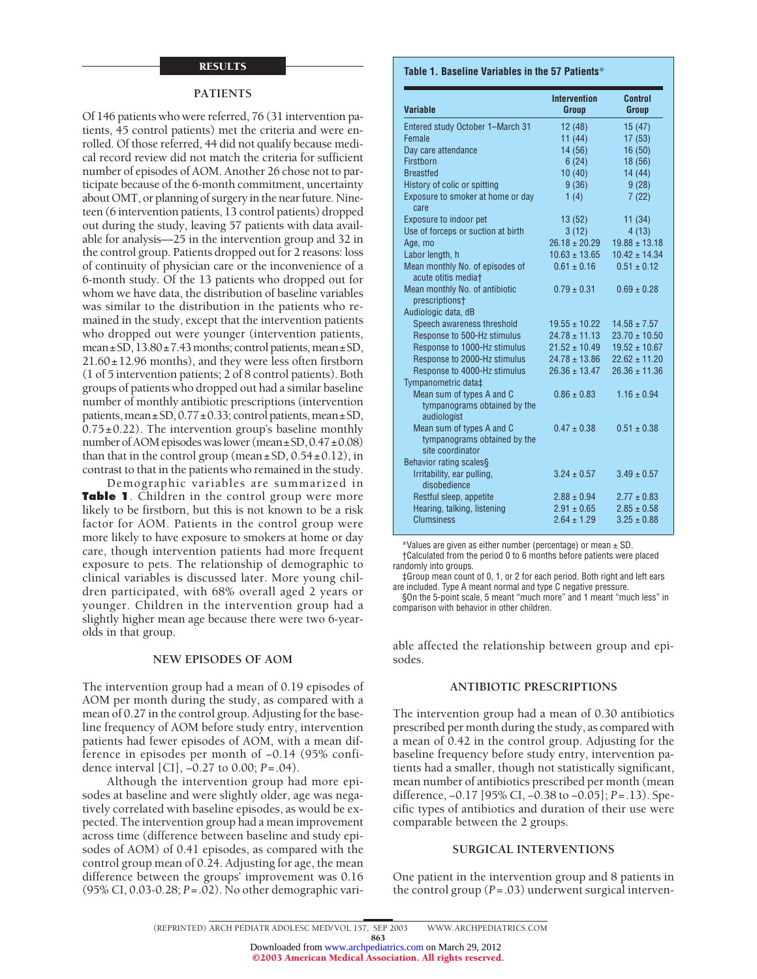# RESULTS

#### **PATIENTS**

Of 146 patients who were referred, 76 (31 intervention patients, 45 control patients) met the criteria and were enrolled. Of those referred, 44 did not qualify because medical record review did not match the criteria for sufficient number of episodes of AOM. Another 26 chose not to participate because of the 6-month commitment, uncertainty about OMT, or planning of surgery in the near future. Nineteen (6 intervention patients, 13 control patients) dropped out during the study, leaving 57 patients with data available for analysis—25 in the intervention group and 32 in the control group. Patients dropped out for 2 reasons: loss of continuity of physician care or the inconvenience of a 6-month study. Of the 13 patients who dropped out for whom we have data, the distribution of baseline variables was similar to the distribution in the patients who remained in the study, except that the intervention patients who dropped out were younger (intervention patients, mean $\pm$ SD, 13.80 $\pm$ 7.43 months; control patients, mean $\pm$ SD, 21.60±12.96 months), and they were less often firstborn (1 of 5 intervention patients; 2 of 8 control patients). Both groups of patients who dropped out had a similar baseline number of monthly antibiotic prescriptions (intervention patients, mean±SD, 0.77±0.33; control patients, mean±SD,  $0.75\pm0.22$ ). The intervention group's baseline monthly number of AOM episodes was lower (mean±SD,  $0.47 \pm 0.08$ ) than that in the control group (mean $\pm$ SD, 0.54 $\pm$ 0.12), in contrast to that in the patients who remained in the study.

Demographic variables are summarized in **Table 1**. Children in the control group were more likely to be firstborn, but this is not known to be a risk factor for AOM. Patients in the control group were more likely to have exposure to smokers at home or day care, though intervention patients had more frequent exposure to pets. The relationship of demographic to clinical variables is discussed later. More young children participated, with 68% overall aged 2 years or younger. Children in the intervention group had a slightly higher mean age because there were two 6-yearolds in that group.

#### **NEW EPISODES OF AOM**

The intervention group had a mean of 0.19 episodes of AOM per month during the study, as compared with a mean of 0.27 in the control group. Adjusting for the baseline frequency of AOM before study entry, intervention patients had fewer episodes of AOM, with a mean difference in episodes per month of −0.14 (95% confidence interval [CI], −0.27 to 0.00; *P*=.04).

Although the intervention group had more episodes at baseline and were slightly older, age was negatively correlated with baseline episodes, as would be expected. The intervention group had a mean improvement across time (difference between baseline and study episodes of AOM) of 0.41 episodes, as compared with the control group mean of 0.24. Adjusting for age, the mean difference between the groups' improvement was 0.16 (95% CI, 0.03-0.28; *P*=.02). No other demographic vari-

#### **Table 1. Baseline Variables in the 57 Patients**\*

| <b>Variable</b>                                                               | <b>Intervention</b><br>Group | Control<br>Group  |
|-------------------------------------------------------------------------------|------------------------------|-------------------|
| Entered study October 1-March 31                                              | 12(48)                       | 15(47)            |
| Female                                                                        | 11(44)                       | 17(53)            |
| Day care attendance                                                           | 14 (56)                      | 16(50)            |
| Firstborn                                                                     | 6(24)                        | 18 (56)           |
| <b>Breastfed</b>                                                              | 10(40)                       | 14(44)            |
| History of colic or spitting                                                  | 9(36)                        | 9(28)             |
| Exposure to smoker at home or day<br>care                                     | 1(4)                         | 7(22)             |
| Exposure to indoor pet                                                        | 13(52)                       | 11(34)            |
| Use of forceps or suction at birth                                            | 3(12)                        | 4(13)             |
| Age, mo                                                                       | $26.18 \pm 20.29$            | $19.88 \pm 13.18$ |
| Labor length, h                                                               | $10.63 \pm 13.65$            | $10.42 \pm 14.34$ |
| Mean monthly No. of episodes of<br>acute otitis mediat                        | $0.61 \pm 0.16$              | $0.51 \pm 0.12$   |
| Mean monthly No. of antibiotic<br>prescriptions <sup>+</sup>                  | $0.79 \pm 0.31$              | $0.69 \pm 0.28$   |
| Audiologic data, dB                                                           |                              |                   |
| Speech awareness threshold                                                    | $19.55 \pm 10.22$            | $14.58 \pm 7.57$  |
| Response to 500-Hz stimulus                                                   | $24.78 \pm 11.13$            | $23.70 \pm 10.50$ |
| Response to 1000-Hz stimulus                                                  | $21.52 \pm 10.49$            | $19.52 \pm 10.67$ |
| Response to 2000-Hz stimulus                                                  | $24.78 \pm 13.86$            | $22.62 \pm 11.20$ |
| Response to 4000-Hz stimulus<br>Tympanometric data‡                           | $26.36 \pm 13.47$            | $26.36 \pm 11.36$ |
| Mean sum of types A and C<br>tympanograms obtained by the<br>audiologist      | $0.86 \pm 0.83$              | $1.16 \pm 0.94$   |
| Mean sum of types A and C<br>tympanograms obtained by the<br>site coordinator | $0.47 \pm 0.38$              | $0.51 \pm 0.38$   |
| Behavior rating scales§                                                       |                              |                   |
| Irritability, ear pulling,<br>disobedience                                    | $3.24 \pm 0.57$              | $3.49 \pm 0.57$   |
| Restful sleep, appetite                                                       | $2.88 \pm 0.94$              | $2.77 \pm 0.83$   |
| Hearing, talking, listening                                                   | $2.91 \pm 0.65$              | $2.85 \pm 0.58$   |
| Clumsiness                                                                    | $264 + 129$                  | $325 + 088$       |
|                                                                               |                              |                   |

\*Values are given as either number (percentage) or mean ± SD.

†Calculated from the period 0 to 6 months before patients were placed randomly into groups.

‡Group mean count of 0, 1, or 2 for each period. Both right and left ears are included. Type A meant normal and type C negative pressure.

§On the 5-point scale, 5 meant "much more" and 1 meant "much less" in comparison with behavior in other children.

able affected the relationship between group and episodes.

# **ANTIBIOTIC PRESCRIPTIONS**

The intervention group had a mean of 0.30 antibiotics prescribed per month during the study, as compared with a mean of 0.42 in the control group. Adjusting for the baseline frequency before study entry, intervention patients had a smaller, though not statistically significant, mean number of antibiotics prescribed per month (mean difference, −0.17 [95% CI, −0.38 to −0.05]; *P*=.13). Specific types of antibiotics and duration of their use were comparable between the 2 groups.

#### **SURGICAL INTERVENTIONS**

One patient in the intervention group and 8 patients in the control group (*P*=.03) underwent surgical interven-

863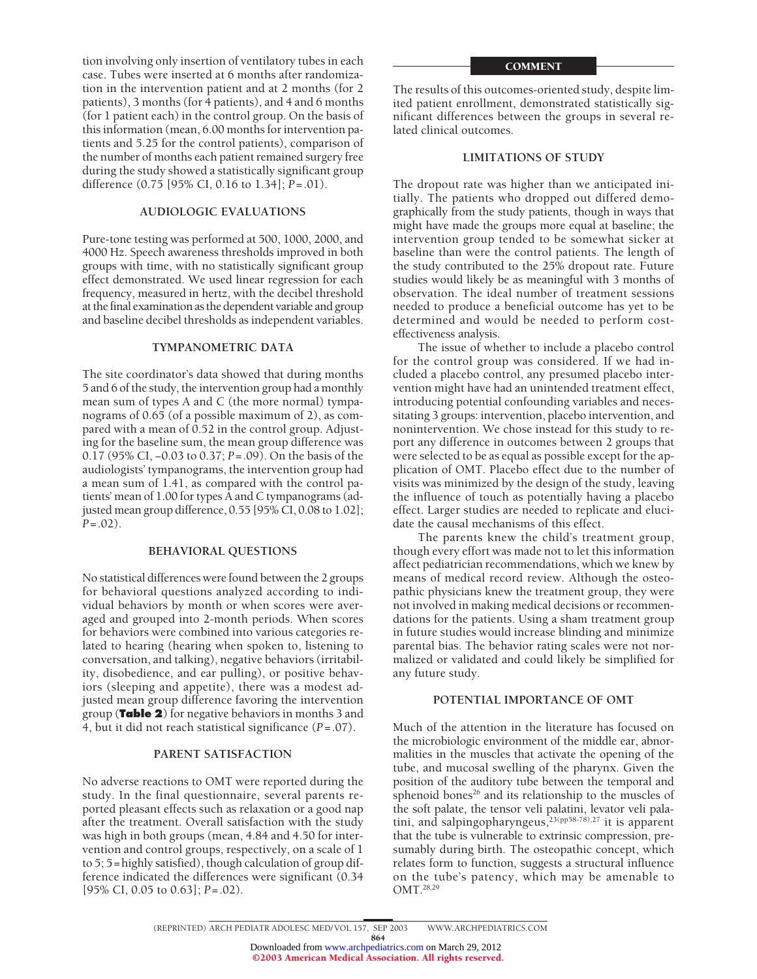tion involving only insertion of ventilatory tubes in each case. Tubes were inserted at 6 months after randomization in the intervention patient and at 2 months (for 2 patients), 3 months (for 4 patients), and 4 and 6 months (for 1 patient each) in the control group. On the basis of this information (mean, 6.00 months for intervention patients and 5.25 for the control patients), comparison of the number of months each patient remained surgery free during the study showed a statistically significant group difference (0.75 [95% CI, 0.16 to 1.34]; *P*=.01).

# **AUDIOLOGIC EVALUATIONS**

Pure-tone testing was performed at 500, 1000, 2000, and 4000 Hz. Speech awareness thresholds improved in both groups with time, with no statistically significant group effect demonstrated. We used linear regression for each frequency, measured in hertz, with the decibel threshold at the final examination as the dependent variable and group and baseline decibel thresholds as independent variables.

# **TYMPANOMETRIC DATA**

The site coordinator's data showed that during months 5 and 6 of the study, the intervention group had a monthly mean sum of types A and C (the more normal) tympanograms of 0.65 (of a possible maximum of 2), as compared with a mean of 0.52 in the control group. Adjusting for the baseline sum, the mean group difference was 0.17 (95% CI, −0.03 to 0.37; *P*=.09). On the basis of the audiologists' tympanograms, the intervention group had a mean sum of 1.41, as compared with the control patients' mean of 1.00 for types A and C tympanograms (adjusted mean group difference, 0.55 [95% CI, 0.08 to 1.02]; *P*=.02).

# **BEHAVIORAL QUESTIONS**

No statistical differences were found between the 2 groups for behavioral questions analyzed according to individual behaviors by month or when scores were averaged and grouped into 2-month periods. When scores for behaviors were combined into various categories related to hearing (hearing when spoken to, listening to conversation, and talking), negative behaviors (irritability, disobedience, and ear pulling), or positive behaviors (sleeping and appetite), there was a modest adjusted mean group difference favoring the intervention group (**Table 2**) for negative behaviors in months 3 and 4, but it did not reach statistical significance (*P*=.07).

# **PARENT SATISFACTION**

No adverse reactions to OMT were reported during the study. In the final questionnaire, several parents reported pleasant effects such as relaxation or a good nap after the treatment. Overall satisfaction with the study was high in both groups (mean, 4.84 and 4.50 for intervention and control groups, respectively, on a scale of 1 to 5; 5=highly satisfied), though calculation of group difference indicated the differences were significant (0.34 [95% CI, 0.05 to 0.63]; *P*=.02).

#### **COMMENT**

The results of this outcomes-oriented study, despite limited patient enrollment, demonstrated statistically significant differences between the groups in several related clinical outcomes.

# **LIMITATIONS OF STUDY**

The dropout rate was higher than we anticipated initially. The patients who dropped out differed demographically from the study patients, though in ways that might have made the groups more equal at baseline; the intervention group tended to be somewhat sicker at baseline than were the control patients. The length of the study contributed to the 25% dropout rate. Future studies would likely be as meaningful with 3 months of observation. The ideal number of treatment sessions needed to produce a beneficial outcome has yet to be determined and would be needed to perform costeffectiveness analysis.

The issue of whether to include a placebo control for the control group was considered. If we had included a placebo control, any presumed placebo intervention might have had an unintended treatment effect, introducing potential confounding variables and necessitating 3 groups: intervention, placebo intervention, and nonintervention. We chose instead for this study to report any difference in outcomes between 2 groups that were selected to be as equal as possible except for the application of OMT. Placebo effect due to the number of visits was minimized by the design of the study, leaving the influence of touch as potentially having a placebo effect. Larger studies are needed to replicate and elucidate the causal mechanisms of this effect.

The parents knew the child's treatment group, though every effort was made not to let this information affect pediatrician recommendations, which we knew by means of medical record review. Although the osteopathic physicians knew the treatment group, they were not involved in making medical decisions or recommendations for the patients. Using a sham treatment group in future studies would increase blinding and minimize parental bias. The behavior rating scales were not normalized or validated and could likely be simplified for any future study.

# **POTENTIAL IMPORTANCE OF OMT**

Much of the attention in the literature has focused on the microbiologic environment of the middle ear, abnormalities in the muscles that activate the opening of the tube, and mucosal swelling of the pharynx. Given the position of the auditory tube between the temporal and sphenoid bones<sup>26</sup> and its relationship to the muscles of the soft palate, the tensor veli palatini, levator veli palatini, and salpingopharyngeus,<sup>23(pp58-78),27</sup> it is apparent that the tube is vulnerable to extrinsic compression, presumably during birth. The osteopathic concept, which relates form to function, suggests a structural influence on the tube's patency, which may be amenable to OMT.28,29

864 Downloaded from [www.archpediatrics.com](http://www.archpediatrics.com) on March 29, 2012 ©2003 American Medical Association. All rights reserved.

<sup>(</sup>REPRINTED) ARCH PEDIATR ADOLESC MED/ VOL 157, SEP 2003 WWW.ARCHPEDIATRICS.COM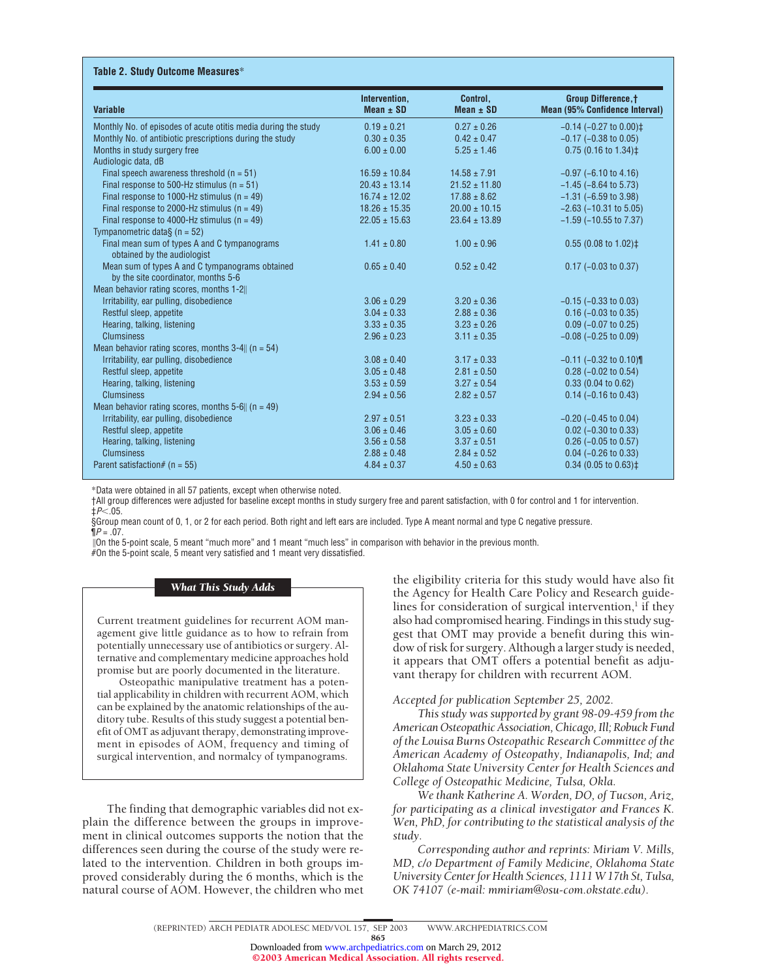| <b>Variable</b>                                                                        | Intervention,<br>Mean $\pm$ SD | Control,<br>Mean $\pm$ SD | <b>Group Difference, t</b><br><b>Mean (95% Confidence Interval)</b> |
|----------------------------------------------------------------------------------------|--------------------------------|---------------------------|---------------------------------------------------------------------|
| Monthly No. of episodes of acute otitis media during the study                         | $0.19 \pm 0.21$                | $0.27 \pm 0.26$           | $-0.14$ ( $-0.27$ to $0.00$ ) $\ddagger$                            |
| Monthly No. of antibiotic prescriptions during the study                               | $0.30 \pm 0.35$                | $0.42 \pm 0.47$           | $-0.17$ ( $-0.38$ to 0.05)                                          |
| Months in study surgery free                                                           | $6.00 \pm 0.00$                | $5.25 \pm 1.46$           | $0.75$ (0.16 to 1.34) $\ddagger$                                    |
| Audiologic data, dB                                                                    |                                |                           |                                                                     |
| Final speech awareness threshold $(n = 51)$                                            | $16.59 \pm 10.84$              | $14.58 \pm 7.91$          | $-0.97$ ( $-6.10$ to 4.16)                                          |
| Final response to 500-Hz stimulus ( $n = 51$ )                                         | $20.43 \pm 13.14$              | $21.52 \pm 11.80$         | $-1.45$ ( $-8.64$ to 5.73)                                          |
| Final response to 1000-Hz stimulus ( $n = 49$ )                                        | $16.74 \pm 12.02$              | $17.88 \pm 8.62$          | $-1.31$ ( $-6.59$ to 3.98)                                          |
| Final response to 2000-Hz stimulus ( $n = 49$ )                                        | $18.26 \pm 15.35$              | $20.00 \pm 10.15$         | $-2.63$ ( $-10.31$ to 5.05)                                         |
| Final response to 4000-Hz stimulus ( $n = 49$ )<br>Tympanometric data $\S$ (n = 52)    | $22.05 \pm 15.63$              | $23.64 \pm 13.89$         | $-1.59$ ( $-10.55$ to $7.37$ )                                      |
| Final mean sum of types A and C tympanograms<br>obtained by the audiologist            | $1.41 \pm 0.80$                | $1.00 \pm 0.96$           | $0.55$ (0.08 to 1.02) $\ddagger$                                    |
| Mean sum of types A and C tympanograms obtained<br>by the site coordinator, months 5-6 | $0.65 \pm 0.40$                | $0.52 \pm 0.42$           | $0.17$ (-0.03 to 0.37)                                              |
| Mean behavior rating scores, months 1-2                                                |                                |                           |                                                                     |
| Irritability, ear pulling, disobedience                                                | $3.06 \pm 0.29$                | $3.20 \pm 0.36$           | $-0.15$ ( $-0.33$ to 0.03)                                          |
| Restful sleep, appetite                                                                | $3.04 \pm 0.33$                | $2.88 \pm 0.36$           | $0.16$ (-0.03 to 0.35)                                              |
| Hearing, talking, listening                                                            | $3.33 \pm 0.35$                | $3.23 \pm 0.26$           | $0.09$ (-0.07 to 0.25)                                              |
| <b>Clumsiness</b>                                                                      | $2.96 \pm 0.23$                | $3.11 \pm 0.35$           | $-0.08$ ( $-0.25$ to 0.09)                                          |
| Mean behavior rating scores, months $3-4$ (n = 54)                                     |                                |                           |                                                                     |
| Irritability, ear pulling, disobedience                                                | $3.08 \pm 0.40$                | $3.17 \pm 0.33$           | $-0.11$ ( $-0.32$ to 0.10)                                          |
| Restful sleep, appetite                                                                | $3.05 \pm 0.48$                | $2.81 \pm 0.50$           | $0.28$ (-0.02 to 0.54)                                              |
| Hearing, talking, listening                                                            | $3.53 \pm 0.59$                | $3.27 \pm 0.54$           | 0.33(0.04 to 0.62)                                                  |
| <b>Clumsiness</b>                                                                      | $2.94 \pm 0.56$                | $2.82 \pm 0.57$           | $0.14$ (-0.16 to 0.43)                                              |
| Mean behavior rating scores, months 5-6   $(n = 49)$                                   |                                |                           |                                                                     |
| Irritability, ear pulling, disobedience                                                | $2.97 \pm 0.51$                | $3.23 \pm 0.33$           | $-0.20$ ( $-0.45$ to 0.04)                                          |
| Restful sleep, appetite                                                                | $3.06 \pm 0.46$                | $3.05 \pm 0.60$           | $0.02$ (-0.30 to 0.33)                                              |
| Hearing, talking, listening                                                            | $3.56 \pm 0.58$                | $3.37 \pm 0.51$           | $0.26$ (-0.05 to 0.57)                                              |
| <b>Clumsiness</b>                                                                      | $2.88 \pm 0.48$                | $2.84 \pm 0.52$           | $0.04$ (-0.26 to 0.33)                                              |
| Parent satisfaction# ( $n = 55$ )                                                      | $4.84 \pm 0.37$                | $4.50 \pm 0.63$           | $0.34$ (0.05 to 0.63) $\ddagger$                                    |

\*Data were obtained in all 57 patients, except when otherwise noted.

†All group differences were adjusted for baseline except months in study surgery free and parent satisfaction, with 0 for control and 1 for intervention. ‡*P*-.05.

§Group mean count of 0, 1, or 2 for each period. Both right and left ears are included. Type A meant normal and type C negative pressure.  $\P P = .07$ .

On the 5-point scale, 5 meant "much more" and 1 meant "much less" in comparison with behavior in the previous month. #On the 5-point scale, 5 meant very satisfied and 1 meant very dissatisfied.

# *What This Study Adds*

Current treatment guidelines for recurrent AOM management give little guidance as to how to refrain from potentially unnecessary use of antibiotics or surgery. Alternative and complementary medicine approaches hold promise but are poorly documented in the literature.

Osteopathic manipulative treatment has a potential applicability in children with recurrent AOM, which can be explained by the anatomic relationships of the auditory tube. Results of this study suggest a potential benefit of OMT as adjuvant therapy, demonstrating improvement in episodes of AOM, frequency and timing of surgical intervention, and normalcy of tympanograms.

The finding that demographic variables did not explain the difference between the groups in improvement in clinical outcomes supports the notion that the differences seen during the course of the study were related to the intervention. Children in both groups improved considerably during the 6 months, which is the natural course of AOM. However, the children who met

the eligibility criteria for this study would have also fit the Agency for Health Care Policy and Research guidelines for consideration of surgical intervention, $<sup>1</sup>$  if they</sup> also had compromised hearing. Findings in this study suggest that OMT may provide a benefit during this window of risk for surgery. Although a larger study is needed, it appears that OMT offers a potential benefit as adjuvant therapy for children with recurrent AOM.

# *Accepted for publication September 25, 2002.*

*This study was supported by grant 98-09-459 from the American Osteopathic Association, Chicago, Ill; Robuck Fund of the Louisa Burns Osteopathic Research Committee of the American Academy of Osteopathy, Indianapolis, Ind; and Oklahoma State University Center for Health Sciences and College of Osteopathic Medicine, Tulsa, Okla.*

*We thank Katherine A. Worden, DO, of Tucson, Ariz, for participating as a clinical investigator and Frances K. Wen, PhD, for contributing to the statistical analysis of the study.*

*Corresponding author and reprints: Miriam V. Mills, MD, c/o Department of Family Medicine, Oklahoma State University Center for Health Sciences, 1111 W 17th St, Tulsa, OK 74107 (e-mail: mmiriam@osu-com.okstate.edu).*

865

<sup>(</sup>REPRINTED) ARCH PEDIATR ADOLESC MED/ VOL 157, SEP 2003 WWW.ARCHPEDIATRICS.COM